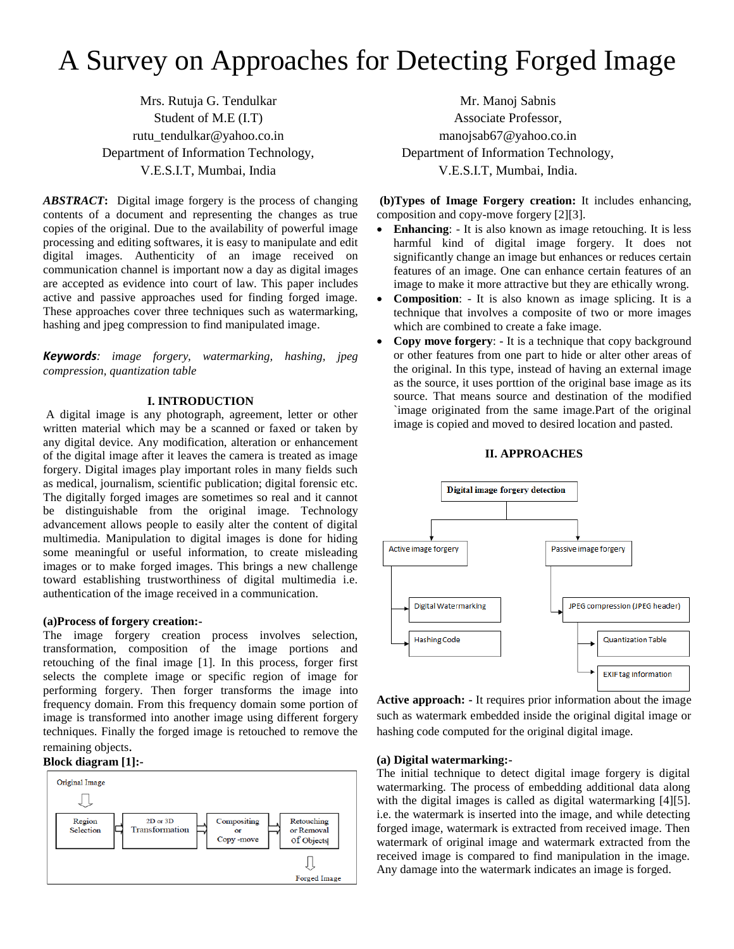# A Survey on Approaches for Detecting Forged Image

Mrs. Rutuja G. Tendulkar Student of M.E (I.T) rutu\_tendulkar@yahoo.co.in Department of Information Technology, V.E.S.I.T, Mumbai, India

*ABSTRACT***:** Digital image forgery is the process of changing contents of a document and representing the changes as true copies of the original. Due to the availability of powerful image processing and editing softwares, it is easy to manipulate and edit digital images. Authenticity of an image received on communication channel is important now a day as digital images are accepted as evidence into court of law. This paper includes active and passive approaches used for finding forged image. These approaches cover three techniques such as watermarking, hashing and jpeg compression to find manipulated image.

*Keywords: image forgery, watermarking, hashing, jpeg compression, quantization table*

## **I. INTRODUCTION**

A digital image is any photograph, agreement, letter or other written material which may be a scanned or faxed or taken by any digital device. Any modification, alteration or enhancement of the digital image after it leaves the camera is treated as image forgery. Digital images play important roles in many fields such as medical, journalism, scientific publication; digital forensic etc. The digitally forged images are sometimes so real and it cannot be distinguishable from the original image. Technology advancement allows people to easily alter the content of digital multimedia. Manipulation to digital images is done for hiding some meaningful or useful information, to create misleading images or to make forged images. This brings a new challenge toward establishing trustworthiness of digital multimedia i.e. authentication of the image received in a communication.

## **(a)Process of forgery creation:-**

The image forgery creation process involves selection, transformation, composition of the image portions and retouching of the final image [1]. In this process, forger first selects the complete image or specific region of image for performing forgery. Then forger transforms the image into frequency domain. From this frequency domain some portion of image is transformed into another image using different forgery techniques. Finally the forged image is retouched to remove the remaining objects.

### **Block diagram [1]:-**



Mr. Manoj Sabnis Associate Professor, [manojsab67@yahoo.co.in](mailto:manojsab67@yahoo.co.in) Department of Information Technology, V.E.S.I.T, Mumbai, India.

**(b)Types of Image Forgery creation:** It includes enhancing, composition and copy-move forgery [2][3].

- **Enhancing**: It is also known as image retouching. It is less harmful kind of digital image forgery. It does not significantly change an image but enhances or reduces certain features of an image. One can enhance certain features of an image to make it more attractive but they are ethically wrong.
- **Composition**: It is also known as image splicing. It is a technique that involves a composite of two or more images which are combined to create a fake image*.*
- **Copy move forgery**: It is a technique that copy background or other features from one part to hide or alter other areas of the original. In this type, instead of having an external image as the source, it uses porttion of the original base image as its source. That means source and destination of the modified `image originated from the same image.Part of the original image is copied and moved to desired location and pasted.



# **II. APPROACHES**

**Active approach: -** It requires prior information about the image such as watermark embedded inside the original digital image or hashing code computed for the original digital image.

#### **(a) Digital watermarking:-**

The initial technique to detect digital image forgery is digital watermarking. The process of embedding additional data along with the digital images is called as digital watermarking [4][5]. i.e. the watermark is inserted into the image, and while detecting forged image, watermark is extracted from received image. Then watermark of original image and watermark extracted from the received image is compared to find manipulation in the image. Any damage into the watermark indicates an image is forged.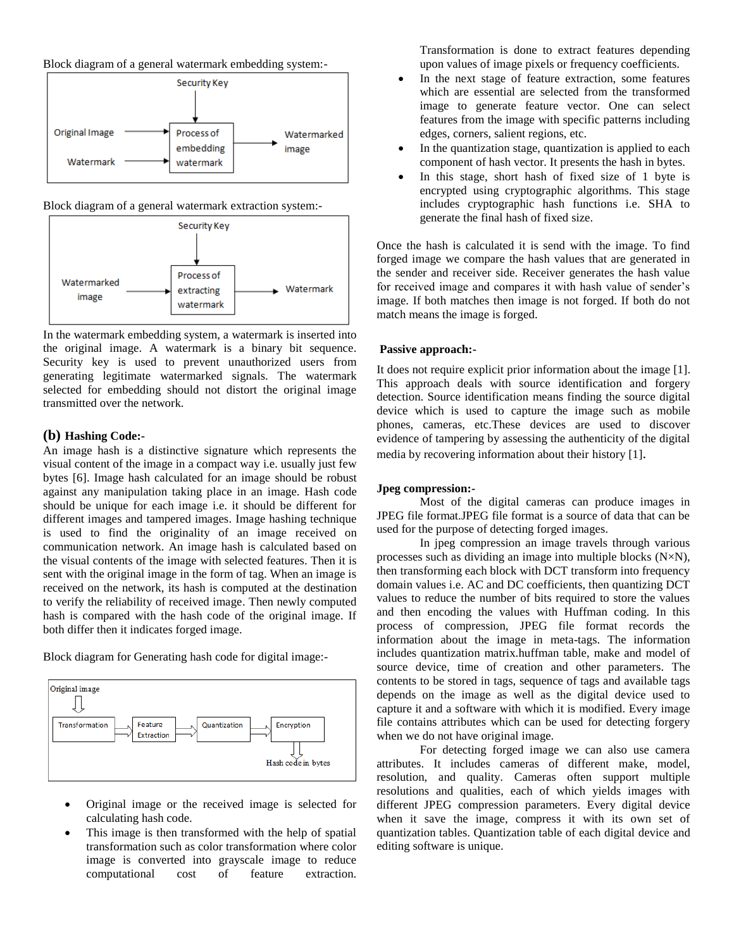Block diagram of a general watermark embedding system:-



Block diagram of a general watermark extraction system:-



In the watermark embedding system, a watermark is inserted into the original image. A watermark is a binary bit sequence. Security key is used to prevent unauthorized users from generating legitimate watermarked signals. The watermark selected for embedding should not distort the original image transmitted over the network.

# **(b) Hashing Code:-**

An image hash is a distinctive signature which represents the visual content of the image in a compact way i.e. usually just few bytes [6]. Image hash calculated for an image should be robust against any manipulation taking place in an image. Hash code should be unique for each image i.e. it should be different for different images and tampered images. Image hashing technique is used to find the originality of an image received on communication network. An image hash is calculated based on the visual contents of the image with selected features. Then it is sent with the original image in the form of tag. When an image is received on the network, its hash is computed at the destination to verify the reliability of received image. Then newly computed hash is compared with the hash code of the original image. If both differ then it indicates forged image.

Block diagram for Generating hash code for digital image:-



- Original image or the received image is selected for calculating hash code.
- This image is then transformed with the help of spatial transformation such as color transformation where color image is converted into grayscale image to reduce computational cost of feature extraction.

Transformation is done to extract features depending upon values of image pixels or frequency coefficients.

- In the next stage of feature extraction, some features which are essential are selected from the transformed image to generate feature vector. One can select features from the image with specific patterns including edges, corners, salient regions, etc.
- In the quantization stage, quantization is applied to each component of hash vector. It presents the hash in bytes.
- In this stage, short hash of fixed size of 1 byte is encrypted using cryptographic algorithms. This stage includes cryptographic hash functions i.e. SHA to generate the final hash of fixed size.

Once the hash is calculated it is send with the image. To find forged image we compare the hash values that are generated in the sender and receiver side. Receiver generates the hash value for received image and compares it with hash value of sender's image. If both matches then image is not forged. If both do not match means the image is forged.

## **Passive approach:-**

It does not require explicit prior information about the image [1]. This approach deals with source identification and forgery detection. Source identification means finding the source digital device which is used to capture the image such as mobile phones, cameras, etc.These devices are used to discover evidence of tampering by assessing the authenticity of the digital media by recovering information about their history [1].

## **Jpeg compression:-**

Most of the digital cameras can produce images in JPEG file format.JPEG file format is a source of data that can be used for the purpose of detecting forged images.

In jpeg compression an image travels through various processes such as dividing an image into multiple blocks (N×N), then transforming each block with DCT transform into frequency domain values i.e. AC and DC coefficients, then quantizing DCT values to reduce the number of bits required to store the values and then encoding the values with Huffman coding. In this process of compression, JPEG file format records the information about the image in meta-tags. The information includes quantization matrix.huffman table, make and model of source device, time of creation and other parameters. The contents to be stored in tags, sequence of tags and available tags depends on the image as well as the digital device used to capture it and a software with which it is modified. Every image file contains attributes which can be used for detecting forgery when we do not have original image.

For detecting forged image we can also use camera attributes. It includes cameras of different make, model, resolution, and quality. Cameras often support multiple resolutions and qualities, each of which yields images with different JPEG compression parameters. Every digital device when it save the image, compress it with its own set of quantization tables. Quantization table of each digital device and editing software is unique.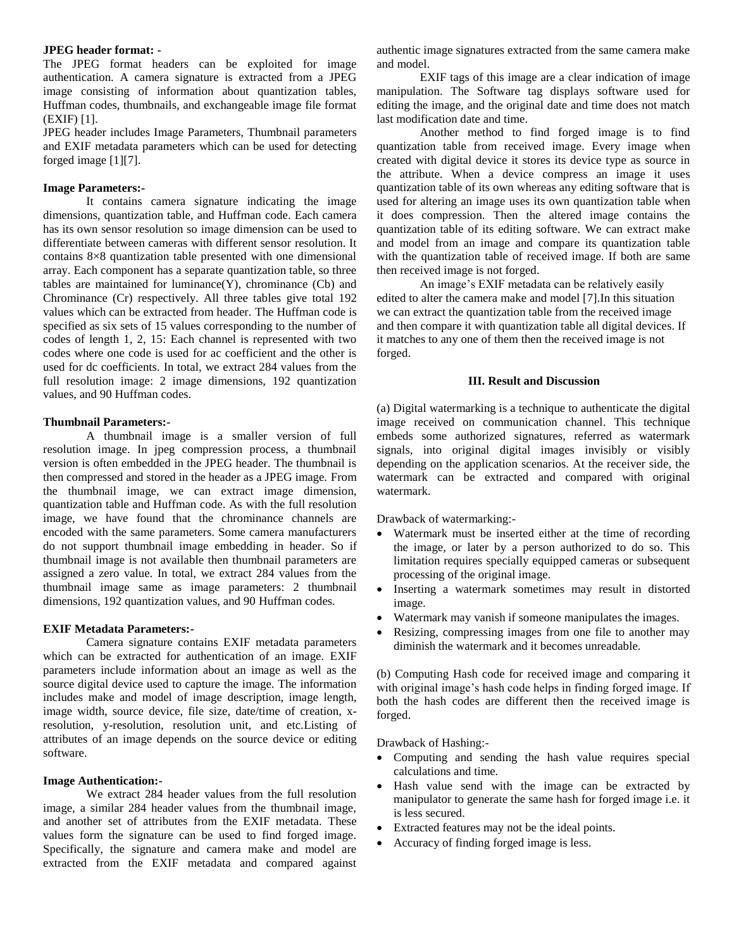#### **JPEG header format: -**

The JPEG format headers can be exploited for image authentication. A camera signature is extracted from a JPEG image consisting of information about quantization tables, Huffman codes, thumbnails, and exchangeable image file format (EXIF) [1].

JPEG header includes Image Parameters, Thumbnail parameters and EXIF metadata parameters which can be used for detecting forged image [1][7].

#### **Image Parameters:-**

It contains camera signature indicating the image dimensions, quantization table, and Huffman code. Each camera has its own sensor resolution so image dimension can be used to differentiate between cameras with different sensor resolution. It contains 8×8 quantization table presented with one dimensional array. Each component has a separate quantization table, so three tables are maintained for luminance $(Y)$ , chrominance  $(Cb)$  and Chrominance (Cr) respectively. All three tables give total 192 values which can be extracted from header. The Huffman code is specified as six sets of 15 values corresponding to the number of codes of length 1, 2, 15: Each channel is represented with two codes where one code is used for ac coefficient and the other is used for dc coefficients. In total, we extract 284 values from the full resolution image: 2 image dimensions, 192 quantization values, and 90 Huffman codes.

## **Thumbnail Parameters:-**

A thumbnail image is a smaller version of full resolution image. In jpeg compression process, a thumbnail version is often embedded in the JPEG header. The thumbnail is then compressed and stored in the header as a JPEG image. From the thumbnail image, we can extract image dimension, quantization table and Huffman code. As with the full resolution image, we have found that the chrominance channels are encoded with the same parameters. Some camera manufacturers do not support thumbnail image embedding in header. So if thumbnail image is not available then thumbnail parameters are assigned a zero value. In total, we extract 284 values from the thumbnail image same as image parameters: 2 thumbnail dimensions, 192 quantization values, and 90 Huffman codes.

#### **EXIF Metadata Parameters:-**

Camera signature contains EXIF metadata parameters which can be extracted for authentication of an image. EXIF parameters include information about an image as well as the source digital device used to capture the image. The information includes make and model of image description, image length, image width, source device, file size, date/time of creation, xresolution, y-resolution, resolution unit, and etc.Listing of attributes of an image depends on the source device or editing software.

## **Image Authentication:-**

We extract 284 header values from the full resolution image, a similar 284 header values from the thumbnail image, and another set of attributes from the EXIF metadata. These values form the signature can be used to find forged image. Specifically, the signature and camera make and model are extracted from the EXIF metadata and compared against authentic image signatures extracted from the same camera make and model.

EXIF tags of this image are a clear indication of image manipulation. The Software tag displays software used for editing the image, and the original date and time does not match last modification date and time.

Another method to find forged image is to find quantization table from received image. Every image when created with digital device it stores its device type as source in the attribute. When a device compress an image it uses quantization table of its own whereas any editing software that is used for altering an image uses its own quantization table when it does compression. Then the altered image contains the quantization table of its editing software. We can extract make and model from an image and compare its quantization table with the quantization table of received image. If both are same then received image is not forged.

An image's EXIF metadata can be relatively easily edited to alter the camera make and model [7].In this situation we can extract the quantization table from the received image and then compare it with quantization table all digital devices. If it matches to any one of them then the received image is not forged.

#### **III. Result and Discussion**

(a) Digital watermarking is a technique to authenticate the digital image received on communication channel. This technique embeds some authorized signatures, referred as watermark signals, into original digital images invisibly or visibly depending on the application scenarios. At the receiver side, the watermark can be extracted and compared with original watermark.

Drawback of watermarking:-

- Watermark must be inserted either at the time of recording the image, or later by a person authorized to do so. This limitation requires specially equipped cameras or subsequent processing of the original image.
- Inserting a watermark sometimes may result in distorted image.
- Watermark may vanish if someone manipulates the images.
- Resizing, compressing images from one file to another may diminish the watermark and it becomes unreadable.

(b) Computing Hash code for received image and comparing it with original image's hash code helps in finding forged image. If both the hash codes are different then the received image is forged.

Drawback of Hashing:-

- Computing and sending the hash value requires special calculations and time.
- Hash value send with the image can be extracted by manipulator to generate the same hash for forged image i.e. it is less secured.
- Extracted features may not be the ideal points.
- Accuracy of finding forged image is less.